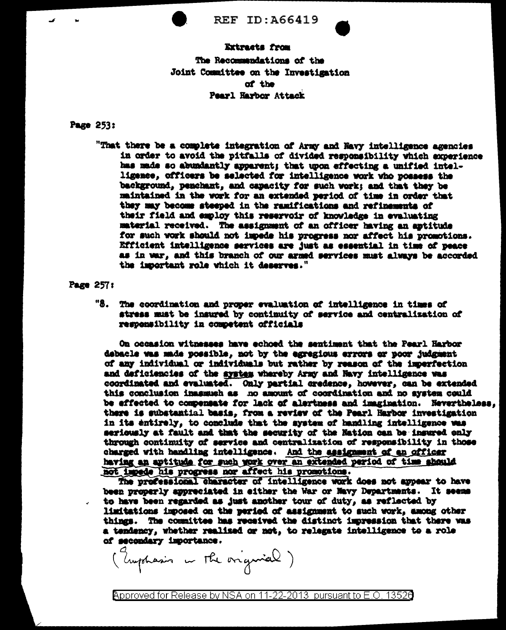

**REF ID: A66419** 



Extracts from The Recommendations of the Joint Committee on the Investigation of the Pearl Harbor Attack

## Page 253:

"That there be a complete integration of Army and Navy intelligence agencies in order to avoid the pitfalls of divided responsibility which experience has made so abundantly apparent; that upon effecting a unified intelligence, officers be selected for intelligence work who possess the background, penchant, and capacity for such work; and that they be maintained in the work for an extended period of time in order that they may become steeped in the ramifications and refinements of their field and employ this reservoir of knowledge in evaluating material received. The assignment of an officer having an aptitude for such work should not impede his progress nor affect his promotions. Efficient intelligence services are just as essential in time of peace as in war, and this branch of our armed services must always be accorded the important role which it deserves."

## Page 257:

"8. The coordination and proper evaluation of intelligence in times of stress must be insured by continuity of service and centralization of responsibility in competent officials

On occasion witnesses have echoed the sentiment that the Pearl Harbor debacle was made possible, not by the egregious errors or poor judgment of any individual or individuals but rather by reason of the imperfection and deficiencies of the system whereby Army and Navy intelligence was coordinated and evaluated. Only partial credence, however, can be extended this conclusion inasmuch as no amount of coordination and no system could be effected to compensate for lack of alertness and imagination. Nevertheless, there is substantial basis, from a review of the Pearl Harbor investigation in its entirely, to conclude that the system of handling intelligence was seriously at fault and that the security of the Nation can be insured only through continuity of service and centralization of responsibility in those charged with handling intelligence. And the assignment of an officer having an aptitude for such york over an extended period of time should not impede his progress nor affect his promotions.

The professional character of intelligence work does not appear to have been properly appreciated in either the War or Navy Departments. It seems to have been regarded as just another tour of duty, as reflected by limitations imposed on the period of assignment to such work, among other things. The committee has received the distinct impression that there was a tendency, whether realized or not, to relegate intelligence to a role of secondary importance.

(Emphasis in the original)

Approved for Release by NSA on 11-22-2013 pursuant to E.O. 13526